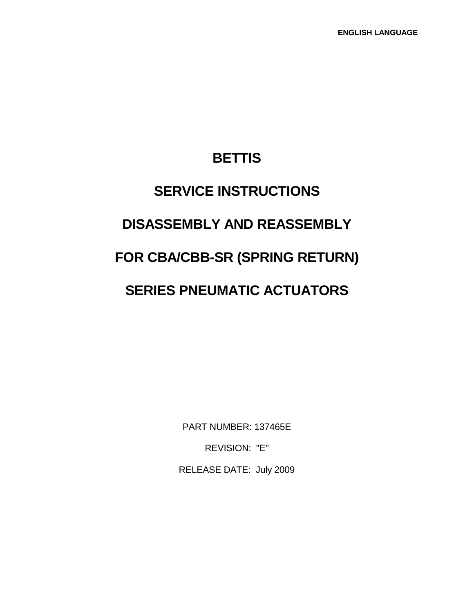# **BETTIS**

# **SERVICE INSTRUCTIONS DISASSEMBLY AND REASSEMBLY FOR CBA/CBB-SR (SPRING RETURN) SERIES PNEUMATIC ACTUATORS**

PART NUMBER: 137465E REVISION: "E"

RELEASE DATE: July 2009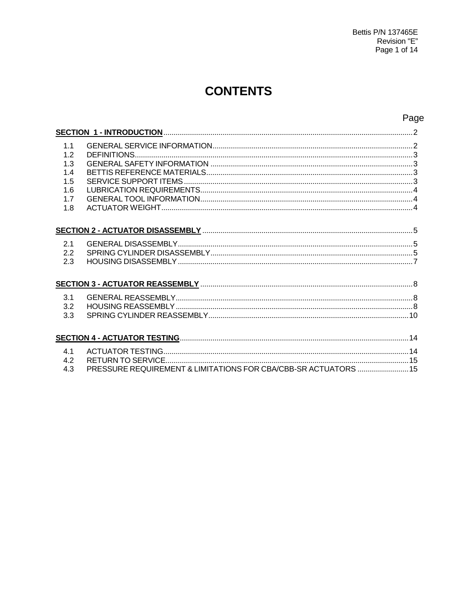## **CONTENTS**

### Page

| 1.1<br>1.2<br>1.3<br>1.4<br>1.5<br>1.6<br>1.7<br>1.8 |                                                                 |  |
|------------------------------------------------------|-----------------------------------------------------------------|--|
|                                                      |                                                                 |  |
| 2.1<br>2.2<br>2.3                                    |                                                                 |  |
|                                                      |                                                                 |  |
| 3.1<br>3.2<br>3.3                                    |                                                                 |  |
|                                                      |                                                                 |  |
| 4.1<br>4.2<br>4.3                                    | PRESSURE REQUIREMENT & LIMITATIONS FOR CBA/CBB-SR ACTUATORS  15 |  |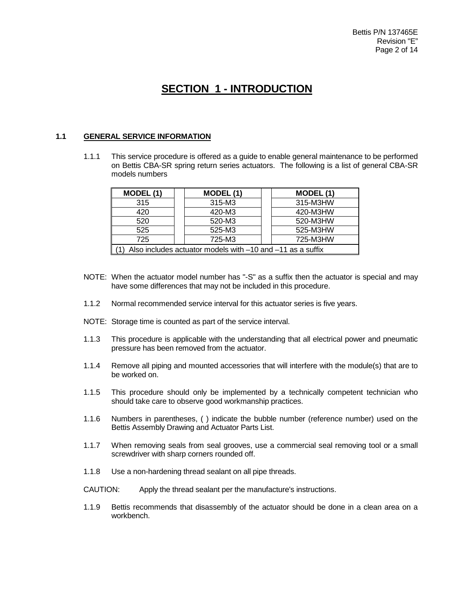## **SECTION 1 - INTRODUCTION**

#### **1.1 GENERAL SERVICE INFORMATION**

1.1.1 This service procedure is offered as a guide to enable general maintenance to be performed on Bettis CBA-SR spring return series actuators. The following is a list of general CBA-SR models numbers

| MODEL (1)                                                  | MODEL (1) | MODEL (1) |  |  |  |  |  |
|------------------------------------------------------------|-----------|-----------|--|--|--|--|--|
| 315                                                        | 315-M3    | 315-M3HW  |  |  |  |  |  |
| 420-M3HW<br>420-M3<br>420                                  |           |           |  |  |  |  |  |
| 520                                                        | 520-M3    | 520-M3HW  |  |  |  |  |  |
| 525-M3HW<br>525-M3<br>525                                  |           |           |  |  |  |  |  |
| 725-M3HW<br>725-M3<br>725                                  |           |           |  |  |  |  |  |
| Also includes actuator models with -10 and -11 as a suffix |           |           |  |  |  |  |  |

- NOTE: When the actuator model number has "-S" as a suffix then the actuator is special and may have some differences that may not be included in this procedure.
- 1.1.2 Normal recommended service interval for this actuator series is five years.
- NOTE: Storage time is counted as part of the service interval.
- 1.1.3 This procedure is applicable with the understanding that all electrical power and pneumatic pressure has been removed from the actuator.
- 1.1.4 Remove all piping and mounted accessories that will interfere with the module(s) that are to be worked on.
- 1.1.5 This procedure should only be implemented by a technically competent technician who should take care to observe good workmanship practices.
- 1.1.6 Numbers in parentheses, ( ) indicate the bubble number (reference number) used on the Bettis Assembly Drawing and Actuator Parts List.
- 1.1.7 When removing seals from seal grooves, use a commercial seal removing tool or a small screwdriver with sharp corners rounded off.
- 1.1.8 Use a non-hardening thread sealant on all pipe threads.
- CAUTION: Apply the thread sealant per the manufacture's instructions.
- 1.1.9 Bettis recommends that disassembly of the actuator should be done in a clean area on a workbench.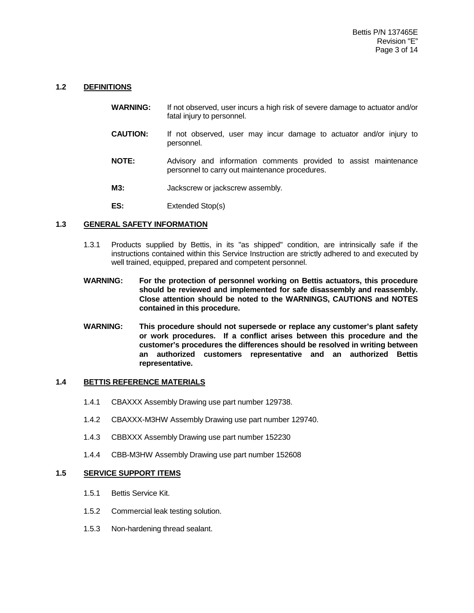#### **1.2 DEFINITIONS**

- **WARNING:** If not observed, user incurs a high risk of severe damage to actuator and/or fatal injury to personnel.
- **CAUTION:** If not observed, user may incur damage to actuator and/or injury to personnel.
- **NOTE:** Advisory and information comments provided to assist maintenance personnel to carry out maintenance procedures.
- **M3:** Jackscrew or jackscrew assembly.
- **ES:** Extended Stop(s)

#### **1.3 GENERAL SAFETY INFORMATION**

- 1.3.1 Products supplied by Bettis, in its "as shipped" condition, are intrinsically safe if the instructions contained within this Service Instruction are strictly adhered to and executed by well trained, equipped, prepared and competent personnel.
- **WARNING: For the protection of personnel working on Bettis actuators, this procedure should be reviewed and implemented for safe disassembly and reassembly. Close attention should be noted to the WARNINGS, CAUTIONS and NOTES contained in this procedure.**
- **WARNING: This procedure should not supersede or replace any customer's plant safety or work procedures. If a conflict arises between this procedure and the customer's procedures the differences should be resolved in writing between an authorized customers representative and an authorized Bettis representative.**

#### **1.4 BETTIS REFERENCE MATERIALS**

- 1.4.1 CBAXXX Assembly Drawing use part number 129738.
- 1.4.2 CBAXXX-M3HW Assembly Drawing use part number 129740.
- 1.4.3 CBBXXX Assembly Drawing use part number 152230
- 1.4.4 CBB-M3HW Assembly Drawing use part number 152608

#### **1.5 SERVICE SUPPORT ITEMS**

- 1.5.1 Bettis Service Kit.
- 1.5.2 Commercial leak testing solution.
- 1.5.3 Non-hardening thread sealant.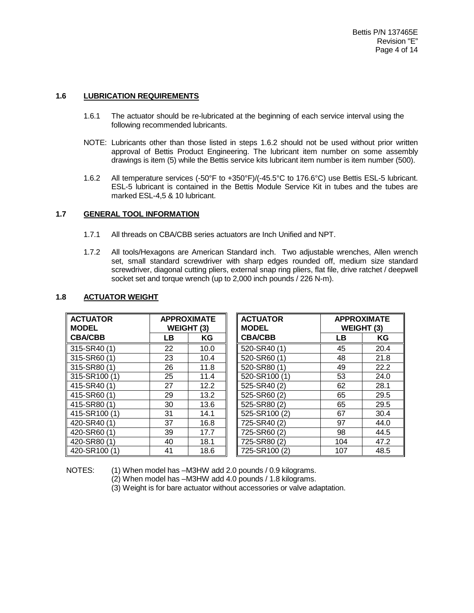#### **1.6 LUBRICATION REQUIREMENTS**

- 1.6.1 The actuator should be re-lubricated at the beginning of each service interval using the following recommended lubricants.
- NOTE: Lubricants other than those listed in steps 1.6.2 should not be used without prior written approval of Bettis Product Engineering. The lubricant item number on some assembly drawings is item (5) while the Bettis service kits lubricant item number is item number (500).
- 1.6.2 All temperature services (-50°F to +350°F)/(-45.5°C to 176.6°C) use Bettis ESL-5 lubricant. ESL-5 lubricant is contained in the Bettis Module Service Kit in tubes and the tubes are marked ESL-4,5 & 10 lubricant.

#### **1.7 GENERAL TOOL INFORMATION**

- 1.7.1 All threads on CBA/CBB series actuators are Inch Unified and NPT.
- 1.7.2 All tools/Hexagons are American Standard inch. Two adjustable wrenches, Allen wrench set, small standard screwdriver with sharp edges rounded off, medium size standard screwdriver, diagonal cutting pliers, external snap ring pliers, flat file, drive ratchet / deepwell socket set and torque wrench (up to 2,000 inch pounds / 226 N-m).

| <b>ACTUATOR</b><br><b>MODEL</b> | <b>APPROXIMATE</b><br><b>WEIGHT</b><br>(3) |      | <b>ACTUATOR</b><br><b>MODEL</b> | <b>APPROXIMATE</b><br>WEIGHT (3) |      |
|---------------------------------|--------------------------------------------|------|---------------------------------|----------------------------------|------|
| <b>CBA/CBB</b>                  | LB                                         | KG   | <b>CBA/CBB</b>                  | LΒ                               | ΚG   |
| 315-SR40 (1)                    | 22                                         | 10.0 | 520-SR40 (1)                    | 45                               | 20.4 |
| 315-SR60 (1)                    | 23                                         | 10.4 | 520-SR60 (1)                    | 48                               | 21.8 |
| 315-SR80 (1)                    | 26                                         | 11.8 | 520-SR80 (1)                    | 49                               | 22.2 |
| 315-SR100 (1)                   | 25                                         | 11.4 | 520-SR100 (1)                   | 53                               | 24.0 |
| 415-SR40 (1)                    | 27                                         | 12.2 | 525-SR40 (2)                    | 62                               | 28.1 |
| 415-SR60 (1)                    | 29                                         | 13.2 | 525-SR60 (2)                    | 65                               | 29.5 |
| 415-SR80 (1)                    | 30                                         | 13.6 | 525-SR80 (2)                    | 65                               | 29.5 |
| 415-SR100 (1)                   | 31                                         | 14.1 | 525-SR100 (2)                   | 67                               | 30.4 |
| 420-SR40 (1)                    | 37                                         | 16.8 | 725-SR40 (2)                    | 97                               | 44.0 |
| 420-SR60 (1)                    | 39                                         | 17.7 | 725-SR60 (2)                    | 98                               | 44.5 |
| 420-SR80 (1)                    | 40                                         | 18.1 | 725-SR80 (2)                    | 104                              | 47.2 |
| 420-SR100 (1)                   | 41                                         | 18.6 | 725-SR100 (2)                   | 107                              | 48.5 |

#### **1.8 ACTUATOR WEIGHT**

NOTES: (1) When model has –M3HW add 2.0 pounds / 0.9 kilograms.

(2) When model has –M3HW add 4.0 pounds / 1.8 kilograms.

(3) Weight is for bare actuator without accessories or valve adaptation.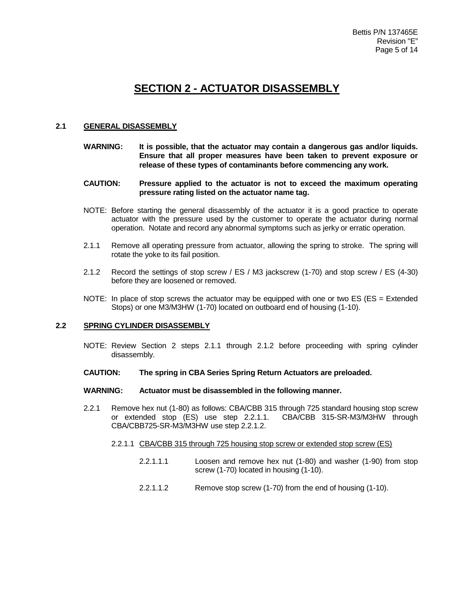## **SECTION 2 - ACTUATOR DISASSEMBLY**

#### **2.1 GENERAL DISASSEMBLY**

- **WARNING: It is possible, that the actuator may contain a dangerous gas and/or liquids. Ensure that all proper measures have been taken to prevent exposure or release of these types of contaminants before commencing any work.**
- **CAUTION: Pressure applied to the actuator is not to exceed the maximum operating pressure rating listed on the actuator name tag.**
- NOTE: Before starting the general disassembly of the actuator it is a good practice to operate actuator with the pressure used by the customer to operate the actuator during normal operation. Notate and record any abnormal symptoms such as jerky or erratic operation.
- 2.1.1 Remove all operating pressure from actuator, allowing the spring to stroke. The spring will rotate the yoke to its fail position.
- 2.1.2 Record the settings of stop screw / ES / M3 jackscrew (1-70) and stop screw / ES (4-30) before they are loosened or removed.
- NOTE: In place of stop screws the actuator may be equipped with one or two ES (ES = Extended Stops) or one M3/M3HW (1-70) located on outboard end of housing (1-10).

#### **2.2 SPRING CYLINDER DISASSEMBLY**

- NOTE: Review Section 2 steps 2.1.1 through 2.1.2 before proceeding with spring cylinder disassembly.
- **CAUTION: The spring in CBA Series Spring Return Actuators are preloaded.**

#### **WARNING: Actuator must be disassembled in the following manner.**

- 2.2.1 Remove hex nut (1-80) as follows: CBA/CBB 315 through 725 standard housing stop screw<br>or extended stop (ES) use step 2.2.1.1. CBA/CBB 315-SR-M3/M3HW through or extended stop (ES) use step 2.2.1.1. CBA/CBB725-SR-M3/M3HW use step 2.2.1.2.
	- 2.2.1.1 CBA/CBB 315 through 725 housing stop screw or extended stop screw (ES)
		- 2.2.1.1.1 Loosen and remove hex nut (1-80) and washer (1-90) from stop screw (1-70) located in housing (1-10).
		- 2.2.1.1.2 Remove stop screw (1-70) from the end of housing (1-10).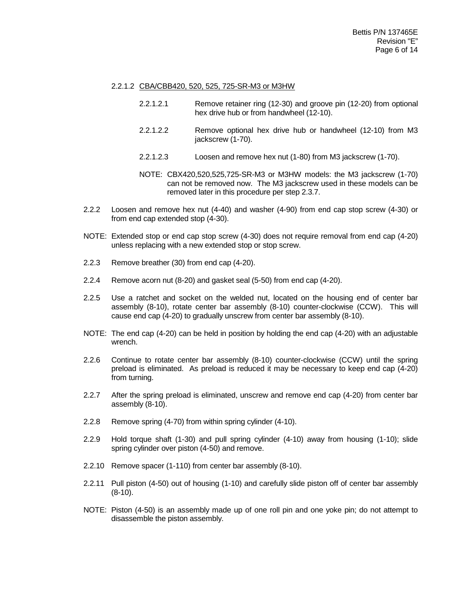#### 2.2.1.2 CBA/CBB420, 520, 525, 725-SR-M3 or M3HW

- 2.2.1.2.1 Remove retainer ring (12-30) and groove pin (12-20) from optional hex drive hub or from handwheel (12-10).
- 2.2.1.2.2 Remove optional hex drive hub or handwheel (12-10) from M3 jackscrew (1-70).
- 2.2.1.2.3 Loosen and remove hex nut (1-80) from M3 jackscrew (1-70).
- NOTE: CBX420,520,525,725-SR-M3 or M3HW models: the M3 jackscrew (1-70) can not be removed now. The M3 jackscrew used in these models can be removed later in this procedure per step 2.3.7.
- 2.2.2 Loosen and remove hex nut (4-40) and washer (4-90) from end cap stop screw (4-30) or from end cap extended stop (4-30).
- NOTE: Extended stop or end cap stop screw (4-30) does not require removal from end cap (4-20) unless replacing with a new extended stop or stop screw.
- 2.2.3 Remove breather (30) from end cap (4-20).
- 2.2.4 Remove acorn nut (8-20) and gasket seal (5-50) from end cap (4-20).
- 2.2.5 Use a ratchet and socket on the welded nut, located on the housing end of center bar assembly (8-10), rotate center bar assembly (8-10) counter-clockwise (CCW). This will cause end cap (4-20) to gradually unscrew from center bar assembly (8-10).
- NOTE: The end cap (4-20) can be held in position by holding the end cap (4-20) with an adjustable wrench.
- 2.2.6 Continue to rotate center bar assembly (8-10) counter-clockwise (CCW) until the spring preload is eliminated. As preload is reduced it may be necessary to keep end cap (4-20) from turning.
- 2.2.7 After the spring preload is eliminated, unscrew and remove end cap (4-20) from center bar assembly (8-10).
- 2.2.8 Remove spring (4-70) from within spring cylinder (4-10).
- 2.2.9 Hold torque shaft (1-30) and pull spring cylinder (4-10) away from housing (1-10); slide spring cylinder over piston (4-50) and remove.
- 2.2.10 Remove spacer (1-110) from center bar assembly (8-10).
- 2.2.11 Pull piston (4-50) out of housing (1-10) and carefully slide piston off of center bar assembly (8-10).
- NOTE: Piston (4-50) is an assembly made up of one roll pin and one yoke pin; do not attempt to disassemble the piston assembly.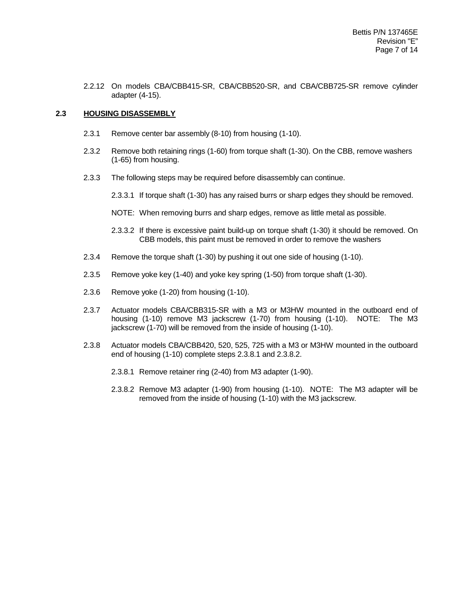2.2.12 On models CBA/CBB415-SR, CBA/CBB520-SR, and CBA/CBB725-SR remove cylinder adapter (4-15).

#### **2.3 HOUSING DISASSEMBLY**

- 2.3.1 Remove center bar assembly (8-10) from housing (1-10).
- 2.3.2 Remove both retaining rings (1-60) from torque shaft (1-30). On the CBB, remove washers (1-65) from housing.
- 2.3.3 The following steps may be required before disassembly can continue.
	- 2.3.3.1 If torque shaft (1-30) has any raised burrs or sharp edges they should be removed.
	- NOTE: When removing burrs and sharp edges, remove as little metal as possible.
	- 2.3.3.2 If there is excessive paint build-up on torque shaft (1-30) it should be removed. On CBB models, this paint must be removed in order to remove the washers
- 2.3.4 Remove the torque shaft (1-30) by pushing it out one side of housing (1-10).
- 2.3.5 Remove yoke key (1-40) and yoke key spring (1-50) from torque shaft (1-30).
- 2.3.6 Remove yoke (1-20) from housing (1-10).
- 2.3.7 Actuator models CBA/CBB315-SR with a M3 or M3HW mounted in the outboard end of housing (1-10) remove M3 jackscrew (1-70) from housing (1-10). NOTE: The M3 jackscrew (1-70) will be removed from the inside of housing (1-10).
- 2.3.8 Actuator models CBA/CBB420, 520, 525, 725 with a M3 or M3HW mounted in the outboard end of housing (1-10) complete steps 2.3.8.1 and 2.3.8.2.
	- 2.3.8.1 Remove retainer ring (2-40) from M3 adapter (1-90).
	- 2.3.8.2 Remove M3 adapter (1-90) from housing (1-10). NOTE: The M3 adapter will be removed from the inside of housing (1-10) with the M3 jackscrew.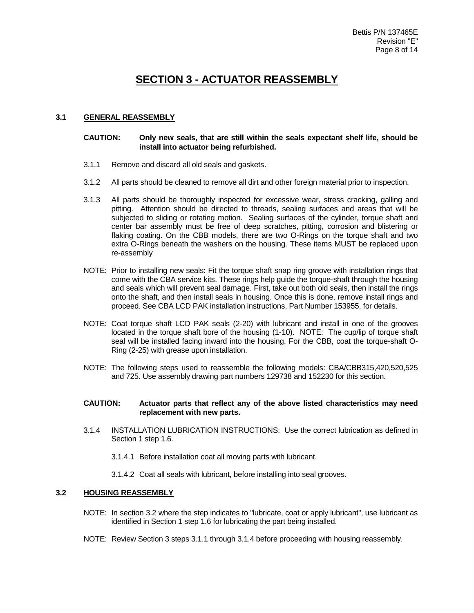## **SECTION 3 - ACTUATOR REASSEMBLY**

#### **3.1 GENERAL REASSEMBLY**

#### **CAUTION: Only new seals, that are still within the seals expectant shelf life, should be install into actuator being refurbished.**

- 3.1.1 Remove and discard all old seals and gaskets.
- 3.1.2 All parts should be cleaned to remove all dirt and other foreign material prior to inspection.
- 3.1.3 All parts should be thoroughly inspected for excessive wear, stress cracking, galling and pitting. Attention should be directed to threads, sealing surfaces and areas that will be subjected to sliding or rotating motion. Sealing surfaces of the cylinder, torque shaft and center bar assembly must be free of deep scratches, pitting, corrosion and blistering or flaking coating. On the CBB models, there are two O-Rings on the torque shaft and two extra O-Rings beneath the washers on the housing. These items MUST be replaced upon re-assembly
- NOTE: Prior to installing new seals: Fit the torque shaft snap ring groove with installation rings that come with the CBA service kits. These rings help guide the torque-shaft through the housing and seals which will prevent seal damage. First, take out both old seals, then install the rings onto the shaft, and then install seals in housing. Once this is done, remove install rings and proceed. See CBA LCD PAK installation instructions, Part Number 153955, for details.
- NOTE: Coat torque shaft LCD PAK seals (2-20) with lubricant and install in one of the grooves located in the torque shaft bore of the housing (1-10). NOTE: The cup/lip of torque shaft seal will be installed facing inward into the housing. For the CBB, coat the torque-shaft O-Ring (2-25) with grease upon installation.
- NOTE: The following steps used to reassemble the following models: CBA/CBB315,420,520,525 and 725. Use assembly drawing part numbers 129738 and 152230 for this section.

#### **CAUTION: Actuator parts that reflect any of the above listed characteristics may need replacement with new parts.**

- 3.1.4 INSTALLATION LUBRICATION INSTRUCTIONS: Use the correct lubrication as defined in Section 1 step 1.6.
	- 3.1.4.1 Before installation coat all moving parts with lubricant.
	- 3.1.4.2 Coat all seals with lubricant, before installing into seal grooves.

#### **3.2 HOUSING REASSEMBLY**

- NOTE: In section 3.2 where the step indicates to "lubricate, coat or apply lubricant", use lubricant as identified in Section 1 step 1.6 for lubricating the part being installed.
- NOTE: Review Section 3 steps 3.1.1 through 3.1.4 before proceeding with housing reassembly.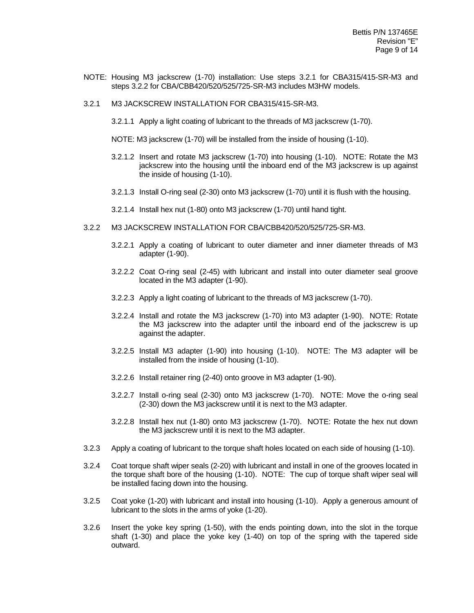- NOTE: Housing M3 jackscrew (1-70) installation: Use steps 3.2.1 for CBA315/415-SR-M3 and steps 3.2.2 for CBA/CBB420/520/525/725-SR-M3 includes M3HW models.
- 3.2.1 M3 JACKSCREW INSTALLATION FOR CBA315/415-SR-M3.
	- 3.2.1.1 Apply a light coating of lubricant to the threads of M3 jackscrew (1-70).
	- NOTE: M3 jackscrew (1-70) will be installed from the inside of housing (1-10).
	- 3.2.1.2 Insert and rotate M3 jackscrew (1-70) into housing (1-10). NOTE: Rotate the M3 jackscrew into the housing until the inboard end of the M3 jackscrew is up against the inside of housing (1-10).
	- 3.2.1.3 Install O-ring seal (2-30) onto M3 jackscrew (1-70) until it is flush with the housing.
	- 3.2.1.4 Install hex nut (1-80) onto M3 jackscrew (1-70) until hand tight.
- 3.2.2 M3 JACKSCREW INSTALLATION FOR CBA/CBB420/520/525/725-SR-M3.
	- 3.2.2.1 Apply a coating of lubricant to outer diameter and inner diameter threads of M3 adapter (1-90).
	- 3.2.2.2 Coat O-ring seal (2-45) with lubricant and install into outer diameter seal groove located in the M3 adapter (1-90).
	- 3.2.2.3 Apply a light coating of lubricant to the threads of M3 jackscrew (1-70).
	- 3.2.2.4 Install and rotate the M3 jackscrew (1-70) into M3 adapter (1-90). NOTE: Rotate the M3 jackscrew into the adapter until the inboard end of the jackscrew is up against the adapter.
	- 3.2.2.5 Install M3 adapter (1-90) into housing (1-10). NOTE: The M3 adapter will be installed from the inside of housing (1-10).
	- 3.2.2.6 Install retainer ring (2-40) onto groove in M3 adapter (1-90).
	- 3.2.2.7 Install o-ring seal (2-30) onto M3 jackscrew (1-70). NOTE: Move the o-ring seal (2-30) down the M3 jackscrew until it is next to the M3 adapter.
	- 3.2.2.8 Install hex nut (1-80) onto M3 jackscrew (1-70). NOTE: Rotate the hex nut down the M3 jackscrew until it is next to the M3 adapter.
- 3.2.3 Apply a coating of lubricant to the torque shaft holes located on each side of housing (1-10).
- 3.2.4 Coat torque shaft wiper seals (2-20) with lubricant and install in one of the grooves located in the torque shaft bore of the housing (1-10). NOTE: The cup of torque shaft wiper seal will be installed facing down into the housing.
- 3.2.5 Coat yoke (1-20) with lubricant and install into housing (1-10). Apply a generous amount of lubricant to the slots in the arms of yoke (1-20).
- 3.2.6 Insert the yoke key spring (1-50), with the ends pointing down, into the slot in the torque shaft (1-30) and place the yoke key (1-40) on top of the spring with the tapered side outward.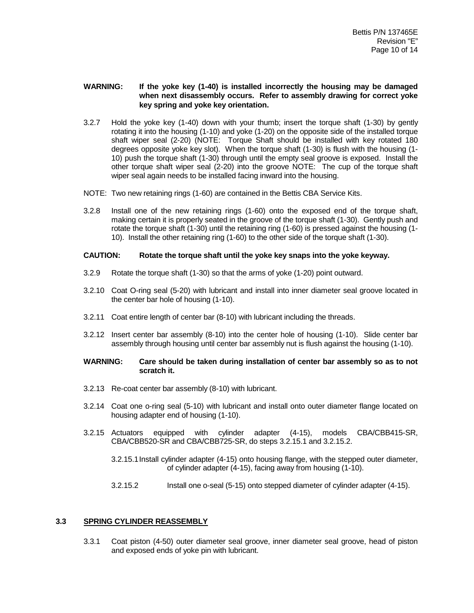#### **WARNING: If the yoke key (1-40) is installed incorrectly the housing may be damaged when next disassembly occurs. Refer to assembly drawing for correct yoke key spring and yoke key orientation.**

- 3.2.7 Hold the yoke key (1-40) down with your thumb; insert the torque shaft (1-30) by gently rotating it into the housing (1-10) and yoke (1-20) on the opposite side of the installed torque shaft wiper seal (2-20) (NOTE: Torque Shaft should be installed with key rotated 180 degrees opposite yoke key slot). When the torque shaft (1-30) is flush with the housing (1- 10) push the torque shaft (1-30) through until the empty seal groove is exposed. Install the other torque shaft wiper seal (2-20) into the groove NOTE: The cup of the torque shaft wiper seal again needs to be installed facing inward into the housing.
- NOTE: Two new retaining rings (1-60) are contained in the Bettis CBA Service Kits.
- 3.2.8 Install one of the new retaining rings (1-60) onto the exposed end of the torque shaft, making certain it is properly seated in the groove of the torque shaft (1-30). Gently push and rotate the torque shaft (1-30) until the retaining ring (1-60) is pressed against the housing (1- 10). Install the other retaining ring (1-60) to the other side of the torque shaft (1-30).

#### **CAUTION: Rotate the torque shaft until the yoke key snaps into the yoke keyway.**

- 3.2.9 Rotate the torque shaft (1-30) so that the arms of yoke (1-20) point outward.
- 3.2.10 Coat O-ring seal (5-20) with lubricant and install into inner diameter seal groove located in the center bar hole of housing (1-10).
- 3.2.11 Coat entire length of center bar (8-10) with lubricant including the threads.
- 3.2.12 Insert center bar assembly (8-10) into the center hole of housing (1-10). Slide center bar assembly through housing until center bar assembly nut is flush against the housing (1-10).

#### **WARNING: Care should be taken during installation of center bar assembly so as to not scratch it.**

- 3.2.13 Re-coat center bar assembly (8-10) with lubricant.
- 3.2.14 Coat one o-ring seal (5-10) with lubricant and install onto outer diameter flange located on housing adapter end of housing (1-10).
- 3.2.15 Actuators equipped with cylinder adapter (4-15), models CBA/CBB415-SR, CBA/CBB520-SR and CBA/CBB725-SR, do steps 3.2.15.1 and 3.2.15.2.
	- 3.2.15.1Install cylinder adapter (4-15) onto housing flange, with the stepped outer diameter, of cylinder adapter (4-15), facing away from housing (1-10).
	- 3.2.15.2 Install one o-seal (5-15) onto stepped diameter of cylinder adapter (4-15).

#### **3.3 SPRING CYLINDER REASSEMBLY**

3.3.1 Coat piston (4-50) outer diameter seal groove, inner diameter seal groove, head of piston and exposed ends of yoke pin with lubricant.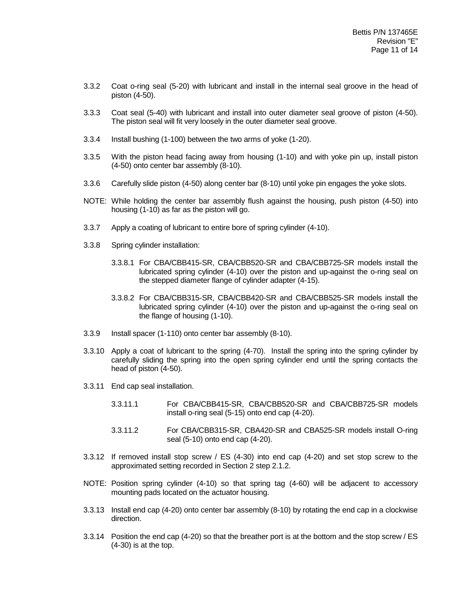- 3.3.2 Coat o-ring seal (5-20) with lubricant and install in the internal seal groove in the head of piston (4-50).
- 3.3.3 Coat seal (5-40) with lubricant and install into outer diameter seal groove of piston (4-50). The piston seal will fit very loosely in the outer diameter seal groove.
- 3.3.4 Install bushing (1-100) between the two arms of yoke (1-20).
- 3.3.5 With the piston head facing away from housing (1-10) and with yoke pin up, install piston (4-50) onto center bar assembly (8-10).
- 3.3.6 Carefully slide piston (4-50) along center bar (8-10) until yoke pin engages the yoke slots.
- NOTE: While holding the center bar assembly flush against the housing, push piston (4-50) into housing (1-10) as far as the piston will go.
- 3.3.7 Apply a coating of lubricant to entire bore of spring cylinder (4-10).
- 3.3.8 Spring cylinder installation:
	- 3.3.8.1 For CBA/CBB415-SR, CBA/CBB520-SR and CBA/CBB725-SR models install the lubricated spring cylinder (4-10) over the piston and up-against the o-ring seal on the stepped diameter flange of cylinder adapter (4-15).
	- 3.3.8.2 For CBA/CBB315-SR, CBA/CBB420-SR and CBA/CBB525-SR models install the lubricated spring cylinder (4-10) over the piston and up-against the o-ring seal on the flange of housing (1-10).
- 3.3.9 Install spacer (1-110) onto center bar assembly (8-10).
- 3.3.10 Apply a coat of lubricant to the spring (4-70). Install the spring into the spring cylinder by carefully sliding the spring into the open spring cylinder end until the spring contacts the head of piston (4-50).
- 3.3.11 End cap seal installation.
	- 3.3.11.1 For CBA/CBB415-SR, CBA/CBB520-SR and CBA/CBB725-SR models install o-ring seal (5-15) onto end cap (4-20).
	- 3.3.11.2 For CBA/CBB315-SR, CBA420-SR and CBA525-SR models install O-ring seal (5-10) onto end cap (4-20).
- 3.3.12 If removed install stop screw / ES (4-30) into end cap (4-20) and set stop screw to the approximated setting recorded in Section 2 step 2.1.2.
- NOTE: Position spring cylinder (4-10) so that spring tag (4-60) will be adjacent to accessory mounting pads located on the actuator housing.
- 3.3.13 Install end cap (4-20) onto center bar assembly (8-10) by rotating the end cap in a clockwise direction.
- 3.3.14 Position the end cap (4-20) so that the breather port is at the bottom and the stop screw / ES (4-30) is at the top.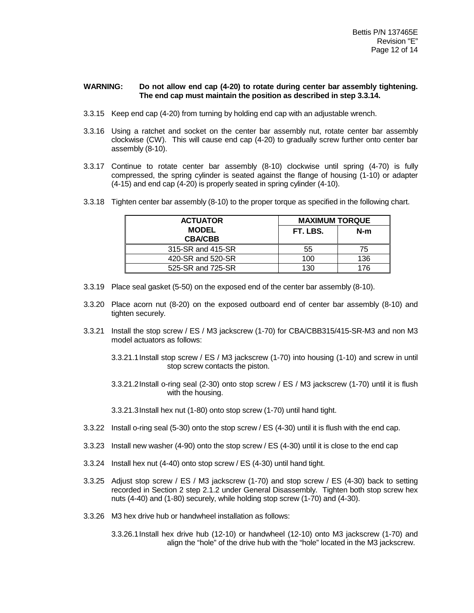#### **WARNING: Do not allow end cap (4-20) to rotate during center bar assembly tightening. The end cap must maintain the position as described in step 3.3.14.**

- 3.3.15 Keep end cap (4-20) from turning by holding end cap with an adjustable wrench.
- 3.3.16 Using a ratchet and socket on the center bar assembly nut, rotate center bar assembly clockwise (CW). This will cause end cap (4-20) to gradually screw further onto center bar assembly (8-10).
- 3.3.17 Continue to rotate center bar assembly (8-10) clockwise until spring (4-70) is fully compressed, the spring cylinder is seated against the flange of housing (1-10) or adapter (4-15) and end cap (4-20) is properly seated in spring cylinder (4-10).

| 3.3.18 Tighten center bar assembly (8-10) to the proper torque as specified in the following chart. |
|-----------------------------------------------------------------------------------------------------|
|-----------------------------------------------------------------------------------------------------|

| <b>ACTUATOR</b>                | <b>MAXIMUM TORQUE</b> |     |  |  |
|--------------------------------|-----------------------|-----|--|--|
| <b>MODEL</b><br><b>CBA/CBB</b> | FT. LBS.              | N-m |  |  |
| 315-SR and 415-SR              | 55                    | 75  |  |  |
| 420-SR and 520-SR              | 100                   | 136 |  |  |
| 525-SR and 725-SR              | 130                   | 176 |  |  |

- 3.3.19 Place seal gasket (5-50) on the exposed end of the center bar assembly (8-10).
- 3.3.20 Place acorn nut (8-20) on the exposed outboard end of center bar assembly (8-10) and tighten securely.
- 3.3.21 Install the stop screw / ES / M3 jackscrew (1-70) for CBA/CBB315/415-SR-M3 and non M3 model actuators as follows:

3.3.21.1Install stop screw / ES / M3 jackscrew (1-70) into housing (1-10) and screw in until stop screw contacts the piston.

3.3.21.2Install o-ring seal (2-30) onto stop screw / ES / M3 jackscrew (1-70) until it is flush with the housing.

3.3.21.3Install hex nut (1-80) onto stop screw (1-70) until hand tight.

- 3.3.22 Install o-ring seal (5-30) onto the stop screw / ES (4-30) until it is flush with the end cap.
- 3.3.23 Install new washer (4-90) onto the stop screw / ES (4-30) until it is close to the end cap
- 3.3.24 Install hex nut (4-40) onto stop screw / ES (4-30) until hand tight.
- 3.3.25 Adjust stop screw / ES / M3 jackscrew (1-70) and stop screw / ES (4-30) back to setting recorded in Section 2 step 2.1.2 under General Disassembly. Tighten both stop screw hex nuts (4-40) and (1-80) securely, while holding stop screw (1-70) and (4-30).
- 3.3.26 M3 hex drive hub or handwheel installation as follows:

3.3.26.1Install hex drive hub (12-10) or handwheel (12-10) onto M3 jackscrew (1-70) and align the "hole" of the drive hub with the "hole" located in the M3 jackscrew.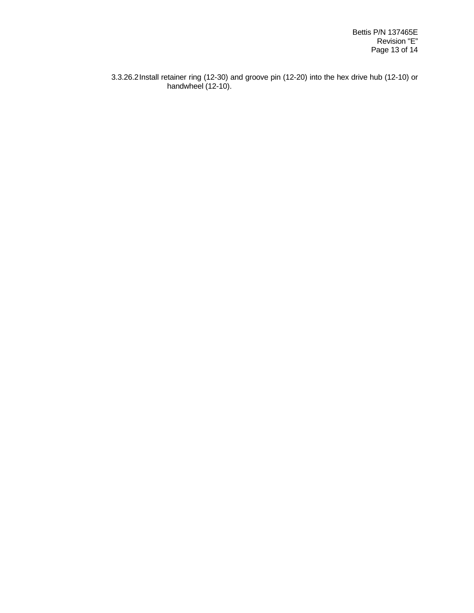3.3.26.2Install retainer ring (12-30) and groove pin (12-20) into the hex drive hub (12-10) or handwheel (12-10).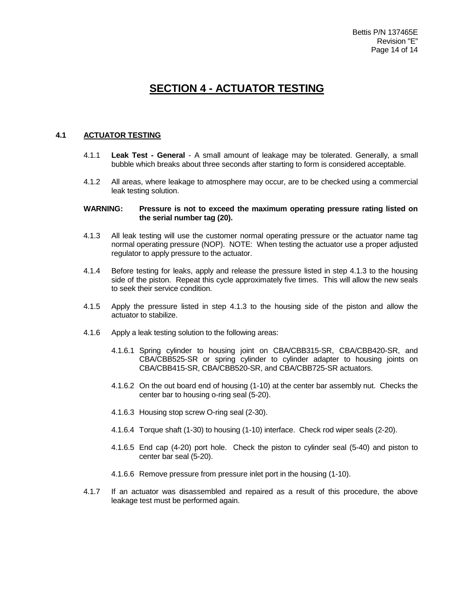## **SECTION 4 - ACTUATOR TESTING**

#### **4.1 ACTUATOR TESTING**

- 4.1.1 **Leak Test - General** A small amount of leakage may be tolerated. Generally, a small bubble which breaks about three seconds after starting to form is considered acceptable.
- 4.1.2 All areas, where leakage to atmosphere may occur, are to be checked using a commercial leak testing solution.

#### **WARNING: Pressure is not to exceed the maximum operating pressure rating listed on the serial number tag (20).**

- 4.1.3 All leak testing will use the customer normal operating pressure or the actuator name tag normal operating pressure (NOP). NOTE: When testing the actuator use a proper adjusted regulator to apply pressure to the actuator.
- 4.1.4 Before testing for leaks, apply and release the pressure listed in step 4.1.3 to the housing side of the piston. Repeat this cycle approximately five times. This will allow the new seals to seek their service condition.
- 4.1.5 Apply the pressure listed in step 4.1.3 to the housing side of the piston and allow the actuator to stabilize.
- 4.1.6 Apply a leak testing solution to the following areas:
	- 4.1.6.1 Spring cylinder to housing joint on CBA/CBB315-SR, CBA/CBB420-SR, and CBA/CBB525-SR or spring cylinder to cylinder adapter to housing joints on CBA/CBB415-SR, CBA/CBB520-SR, and CBA/CBB725-SR actuators.
	- 4.1.6.2 On the out board end of housing (1-10) at the center bar assembly nut. Checks the center bar to housing o-ring seal (5-20).
	- 4.1.6.3 Housing stop screw O-ring seal (2-30).
	- 4.1.6.4 Torque shaft (1-30) to housing (1-10) interface. Check rod wiper seals (2-20).
	- 4.1.6.5 End cap (4-20) port hole. Check the piston to cylinder seal (5-40) and piston to center bar seal (5-20).
	- 4.1.6.6 Remove pressure from pressure inlet port in the housing (1-10).
- 4.1.7 If an actuator was disassembled and repaired as a result of this procedure, the above leakage test must be performed again.